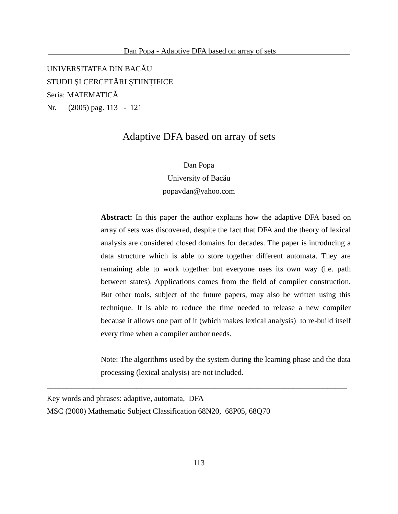UNIVERSITATEA DIN BACĂU STUDII ŞI CERCETĂRI ŞTIINŢIFICE Seria: MATEMATICĂ Nr. (2005) pag. 113 - 121

# Adaptive DFA based on array of sets

Dan Popa University of Bacău popavdan@yahoo.com

**Abstract:** In this paper the author explains how the adaptive DFA based on array of sets was discovered, despite the fact that DFA and the theory of lexical analysis are considered closed domains for decades. The paper is introducing a data structure which is able to store together different automata. They are remaining able to work together but everyone uses its own way (i.e. path between states). Applications comes from the field of compiler construction. But other tools, subject of the future papers, may also be written using this technique. It is able to reduce the time needed to release a new compiler because it allows one part of it (which makes lexical analysis) to re-build itself every time when a compiler author needs.

Note: The algorithms used by the system during the learning phase and the data processing (lexical analysis) are not included.

Key words and phrases: adaptive, automata, DFA MSC (2000) Mathematic Subject Classification 68N20, 68P05, 68Q70

\_\_\_\_\_\_\_\_\_\_\_\_\_\_\_\_\_\_\_\_\_\_\_\_\_\_\_\_\_\_\_\_\_\_\_\_\_\_\_\_\_\_\_\_\_\_\_\_\_\_\_\_\_\_\_\_\_\_\_\_\_\_\_\_\_\_\_\_\_\_\_\_\_\_\_\_\_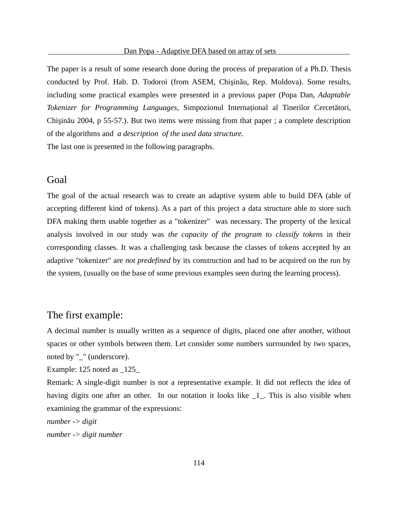The paper is a result of some research done during the process of preparation of a Ph.D. Thesis conducted by Prof. Hab. D. Todoroi (from ASEM, Chişinău, Rep. Moldova). Some results, including some practical examples were presented in a previous paper (Popa Dan, *Adaptable Tokenizer for Programming Languages*, Simpozionul Internaţional al Tinerilor Cercetători, Chişinău 2004, p 55-57.). But two items were missing from that paper ; a complete description of the algorithms and *a description of the used data structure.*

The last one is presented in the following paragraphs.

#### **Goal**

The goal of the actual research was to create an adaptive system able to build DFA (able of accepting different kind of tokens). As a part of this project a data structure able to store such DFA making them usable together as a "tokenizer" was necessary. The property of the lexical analysis involved in our study was *the capacity of the program to classify tokens* in their corresponding classes. It was a challenging task because the classes of tokens accepted by an adaptive "tokenizer" are *not predefined* by its construction and had to be acquired on the run by the system, (usually on the base of some previous examples seen during the learning process).

### The first example:

A decimal number is usually written as a sequence of digits, placed one after another, without spaces or other symbols between them. Let consider some numbers surrounded by two spaces, noted by "\_" (underscore).

Example: 125 noted as \_125\_

Remark: A single-digit number is not a representative example. It did not reflects the idea of having digits one after an other. In our notation it looks like  $\_1$ . This is also visible when examining the grammar of the expressions:

*number -> digit number -> digit number*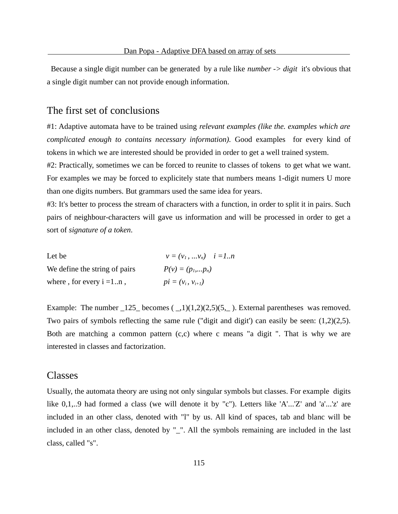Because a single digit number can be generated by a rule like *number -> digit* it's obvious that a single digit number can not provide enough information.

#### The first set of conclusions

#1: Adaptive automata have to be trained using *relevant examples (like the. examples which are complicated enough to contains necessary information).* Good examples for every kind of tokens in which we are interested should be provided in order to get a well trained system.

#2: Practically, sometimes we can be forced to reunite to classes of tokens to get what we want. For examples we may be forced to explicitely state that numbers means 1-digit numers U more than one digits numbers. But grammars used the same idea for years.

#3: It's better to process the stream of characters with a function, in order to split it in pairs. Such pairs of neighbour-characters will gave us information and will be processed in order to get a sort of *signature of a token*.

| Let be                        | $v = (v_1,  v_n)$ $i = 1n$ |
|-------------------------------|----------------------------|
| We define the string of pairs | $P(v) = (p_1,p_n)$         |
| where, for every $i = 1n$ ,   | $pi = (v_i, v_{i+1})$      |

Example: The number  $\text{125}_\text{}$  becomes  $(\text{11})(1,2)(2,5)(5,\text{11})$ . External parentheses was removed. Two pairs of symbols reflecting the same rule ("digit and digit') can easily be seen: (1,2)(2,5). Both are matching a common pattern  $(c, c)$  where c means "a digit ". That is why we are interested in classes and factorization.

#### Classes

Usually, the automata theory are using not only singular symbols but classes. For example digits like 0,1,..9 had formed a class (we will denote it by "c"). Letters like 'A'...'Z' and 'a'...'z' are included in an other class, denoted with "l" by us. All kind of spaces, tab and blanc will be included in an other class, denoted by "\_". All the symbols remaining are included in the last class, called "s".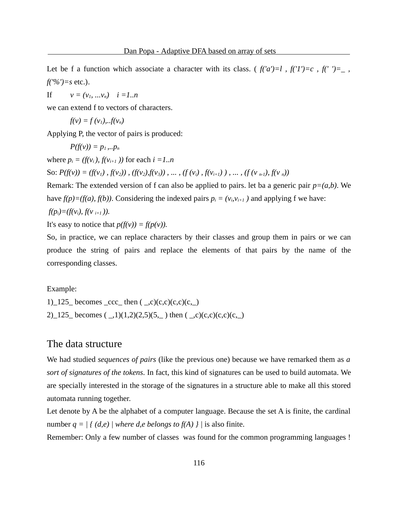Let be f a function which associate a character with its class. ( $f('a')=l$ ,  $f('1')=c$ ,  $f('r')=-l$ , *f('%')=s* etc.).

If  $v = (v_1, ... v_n)$   $i = 1..n$ 

we can extend f to vectors of characters.

$$
f(v) = f(v_1)...f(v_n)
$$

Applying P, the vector of pairs is produced:

$$
P(f(v))=p_1...p_n
$$

where  $p_i = (f(v_i), f(v_{i+1}))$  for each  $i = 1..n$ 

So:  $P(f(v)) = (f(v_1), f(v_2)), (f(v_2), f(v_3)), \dots, (f(v_i), f(v_{i+1})), \dots, (f(v_{n-1}), f(v_n))$ 

Remark: The extended version of f can also be applied to pairs. let ba a generic pair *p=(a,b)*. We have  $f(p)=(f(a), f(b))$ . Considering the indexed pairs  $p_i = (v_i,v_{i+1})$  and applying f we have: *f*(*p*<sub>*i*</sub>)=(*f*(*v*<sub>*i*</sub>), *f*(*v*<sub>*i*+*1*</sub>)).

It's easy to notice that  $p(f(v)) = f(p(v))$ .

So, in practice, we can replace characters by their classes and group them in pairs or we can produce the string of pairs and replace the elements of that pairs by the name of the corresponding classes.

Example:

1)\_125\_ becomes \_ccc\_ then  $($  \_,c $)(c,c)(c,c)(c_+)$ 2)\_125\_ becomes  $($ , 1) $(1,2)(2,5)(5,$  then  $($ , c) $(c,c)(c,c)(c,$ 

#### The data structure

We had studied *sequences of pairs* (like the previous one) because we have remarked them as *a sort of signatures of the tokens*. In fact, this kind of signatures can be used to build automata. We are specially interested in the storage of the signatures in a structure able to make all this stored automata running together.

Let denote by A be the alphabet of a computer language. Because the set A is finite, the cardinal number  $q = | \{ (d,e) | where d,e belongs to f(A) \} |$  is also finite.

Remember: Only a few number of classes was found for the common programming languages !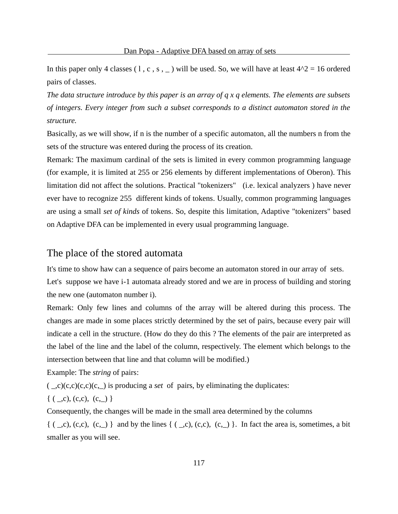In this paper only 4 classes (1, c, s,  $\angle$ ) will be used. So, we will have at least  $4^2$  = 16 ordered pairs of classes.

*The data structure introduce by this paper is an array of q x q elements. The elements are subsets of integers. Every integer from such a subset corresponds to a distinct automaton stored in the structure.*

Basically, as we will show, if n is the number of a specific automaton, all the numbers n from the sets of the structure was entered during the process of its creation.

Remark: The maximum cardinal of the sets is limited in every common programming language (for example, it is limited at 255 or 256 elements by different implementations of Oberon). This limitation did not affect the solutions. Practical "tokenizers" (i.e. lexical analyzers ) have never ever have to recognize 255 different kinds of tokens. Usually, common programming languages are using a small *set of kinds* of tokens. So, despite this limitation, Adaptive "tokenizers" based on Adaptive DFA can be implemented in every usual programming language.

# The place of the stored automata

It's time to show haw can a sequence of pairs become an automaton stored in our array of sets.

Let's suppose we have i-1 automata already stored and we are in process of building and storing the new one (automaton number i).

Remark: Only few lines and columns of the array will be altered during this process. The changes are made in some places strictly determined by the set of pairs, because every pair will indicate a cell in the structure. (How do they do this ? The elements of the pair are interpreted as the label of the line and the label of the column, respectively. The element which belongs to the intersection between that line and that column will be modified.)

Example: The *string* of pairs:

 $(\_,c)(c,c)(c,-)$  is producing a *set* of pairs, by eliminating the duplicates:

 $\{ (\_,c), (c,c), (c,\_)\}$ 

Consequently, the changes will be made in the small area determined by the columns

 $\{ (\_,c), (c,c), (c,\_) \}$  and by the lines  $\{ (\_,c), (c,c), (c,\_) \}$ . In fact the area is, sometimes, a bit smaller as you will see.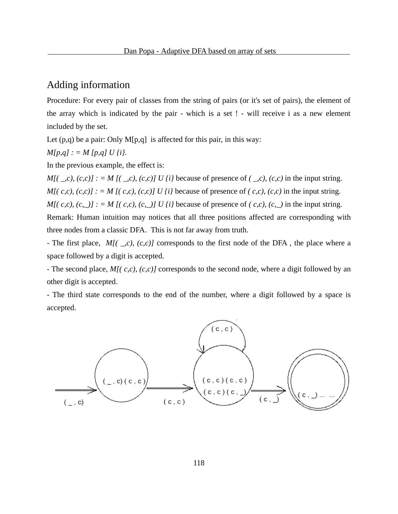# Adding information

Procedure: For every pair of classes from the string of pairs (or it's set of pairs), the element of the array which is indicated by the pair - which is a set ! - will receive i as a new element included by the set.

Let  $(p,q)$  be a pair: Only M $[p,q]$  is affected for this pair, in this way:

$$
M[p,q] := M[p,q] U \{i\}.
$$

In the previous example, the effect is:

*M[( \_,c), (c,c)] : = M [( \_,c), (c,c)] U {i}* because of presence of *( \_,c), (c,c)* in the input string. *M[( c,c), (c,c)] : = M [( c,c), (c,c)] U {i}* because of presence of *( c,c), (c,c)* in the input string. *M[( c,c), (c, \_)] : = M [( c,c), (c, \_)] U {i}* because of presence of *( c,c), (c, \_)* in the input string. Remark: Human intuition may notices that all three positions affected are corresponding with three nodes from a classic DFA. This is not far away from truth.

- The first place, *M[( \_,c), (c,c)]* corresponds to the first node of the DFA , the place where a space followed by a digit is accepted.

- The second place, *M[( c,c), (c,c)]* corresponds to the second node, where a digit followed by an other digit is accepted.

- The third state corresponds to the end of the number, where a digit followed by a space is accepted.

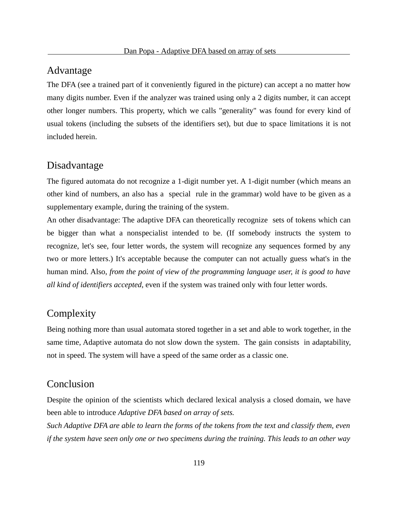#### Advantage

The DFA (see a trained part of it conveniently figured in the picture) can accept a no matter how many digits number. Even if the analyzer was trained using only a 2 digits number, it can accept other longer numbers. This property, which we calls "generality" was found for every kind of usual tokens (including the subsets of the identifiers set), but due to space limitations it is not included herein.

## Disadvantage

The figured automata do not recognize a 1-digit number yet. A 1-digit number (which means an other kind of numbers, an also has a special rule in the grammar) wold have to be given as a supplementary example, during the training of the system.

An other disadvantage: The adaptive DFA can theoretically recognize sets of tokens which can be bigger than what a nonspecialist intended to be. (If somebody instructs the system to recognize, let's see, four letter words, the system will recognize any sequences formed by any two or more letters.) It's acceptable because the computer can not actually guess what's in the human mind. Also, *from the point of view of the programming language user, it is good to have all kind of identifiers accepted*, even if the system was trained only with four letter words.

## **Complexity**

Being nothing more than usual automata stored together in a set and able to work together, in the same time, Adaptive automata do not slow down the system. The gain consists in adaptability, not in speed. The system will have a speed of the same order as a classic one.

# Conclusion

Despite the opinion of the scientists which declared lexical analysis a closed domain, we have been able to introduce *Adaptive DFA based on array of sets.* 

*Such Adaptive DFA are able to learn the forms of the tokens from the text and classify them, even if the system have seen only one or two specimens during the training. This leads to an other way*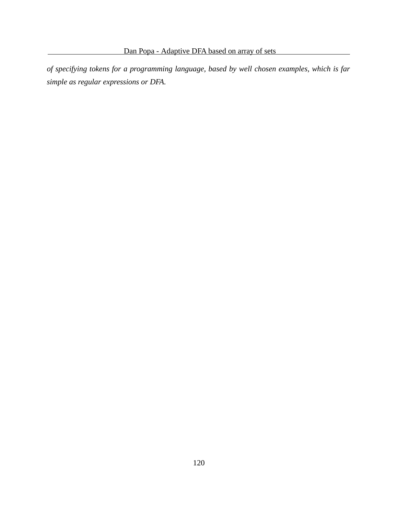*of specifying tokens for a programming language, based by well chosen examples, which is far simple as regular expressions or DFA.*